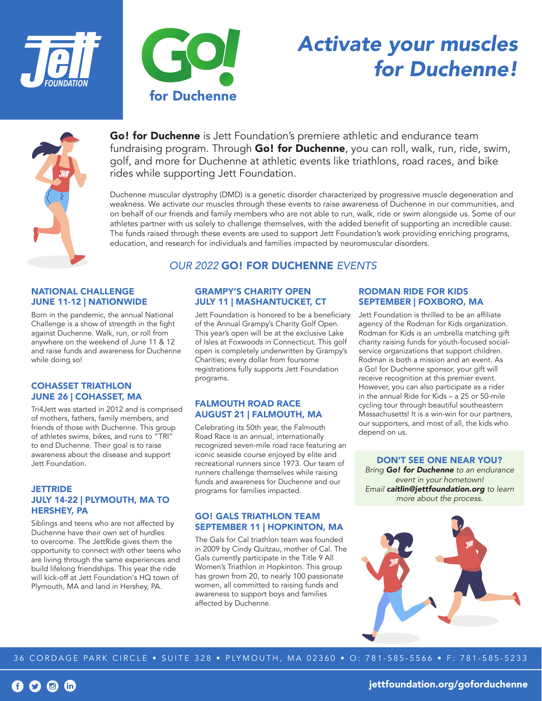



# *Activate your muscles for Duchenne!*



Go! for Duchenne is Jett Foundation's premiere athletic and endurance team fundraising program. Through Go! for Duchenne, you can roll, walk, run, ride, swim, golf, and more for Duchenne at athletic events like triathlons, road races, and bike rides while supporting Jett Foundation.

Duchenne muscular dystrophy (DMD) is a genetic disorder characterized by progressive muscle degeneration and weakness. We activate our muscles through these events to raise awareness of Duchenne in our communities, and on behalf of our friends and family members who are not able to run, walk, ride or swim alongside us. Some of our athletes partner with us solely to challenge themselves, with the added benefit of supporting an incredible cause. The funds raised through these events are used to support Jett Foundation's work providing enriching programs, education, and research for individuals and families impacted by neuromuscular disorders.

## *OUR 2022* GO! FOR DUCHENNE *EVENTS*

#### NATIONAL CHALLENGE JUNE 11-12 | NATIONWIDE

Born in the pandemic, the annual National Challenge is a show of strength in the fight against Duchenne. Walk, run, or roll from anywhere on the weekend of June 11 & 12 and raise funds and awareness for Duchenne while doing so!

#### COHASSET TRIATHLON JUNE 26 | COHASSET, MA

Tri4Jett was started in 2012 and is comprised of mothers, fathers, family members, and friends of those with Duchenne. This group of athletes swims, bikes, and runs to "TRI" to end Duchenne. Their goal is to raise awareness about the disease and support Jett Foundation.

#### **JETTRIDE** JULY 14-22 | PLYMOUTH, MA TO HERSHEY, PA

Siblings and teens who are not affected by Duchenne have their own set of hurdles to overcome. The JettRide gives them the opportunity to connect with other teens who are living through the same experiences and build lifelong friendships. This year the ride will kick-off at Jett Foundation's HQ town of Plymouth, MA and land in Hershey, PA.

## GRAMPY'S CHARITY OPEN JULY 11 | MASHANTUCKET, CT

Jett Foundation is honored to be a beneficiary of the Annual Grampy's Charity Golf Open. This year's open will be at the exclusive Lake of Isles at Foxwoods in Connecticut. This golf open is completely underwritten by Grampy's Charities; every dollar from foursome registrations fully supports Jett Foundation programs.

#### FALMOUTH ROAD RACE AUGUST 21 | FALMOUTH, MA

Celebrating its 50th year, the Falmouth Road Race is an annual, internationally recognized seven-mile road race featuring an iconic seaside course enjoyed by elite and recreational runners since 1973. Our team of runners challenge themselves while raising funds and awareness for Duchenne and our programs for families impacted.

#### GO! GALS TRIATHLON TEAM SEPTEMBER 11 | HOPKINTON, MA

The Gals for Cal triathlon team was founded in 2009 by Cindy Quitzau, mother of Cal. The Gals currently participate in the Title 9 All Women's Triathlon in Hopkinton. This group has grown from 20, to nearly 100 passionate women, all committed to raising funds and awareness to support boys and families affected by Duchenne.

#### RODMAN RIDE FOR KIDS SEPTEMBER | FOXBORO, MA

Jett Foundation is thrilled to be an affiliate agency of the Rodman for Kids organization. Rodman for Kids is an umbrella matching gift charity raising funds for youth-focused socialservice organizations that support children. Rodman is both a mission and an event. As a Go! for Duchenne sponsor, your gift will receive recognition at this premier event. However, you can also participate as a rider in the annual Ride for Kids – a 25 or 50-mile cycling tour through beautiful southeastern Massachusetts! It is a win-win for our partners, our supporters, and most of all, the kids who depend on us.

DON'T SEE ONE NEAR YOU? *Bring Go! for Duchenne to an endurance event in your hometown! Email caitlin@jettfoundation.org to learn more about the process.*



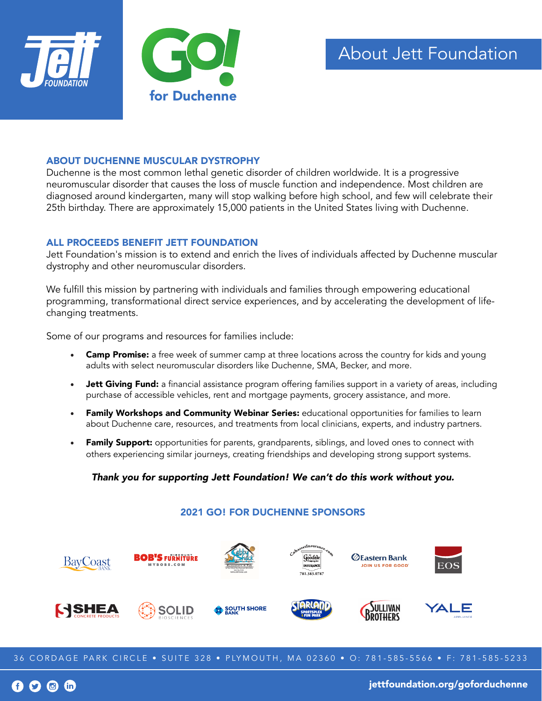

### ABOUT DUCHENNE MUSCULAR DYSTROPHY

Duchenne is the most common lethal genetic disorder of children worldwide. It is a progressive neuromuscular disorder that causes the loss of muscle function and independence. Most children are diagnosed around kindergarten, many will stop walking before high school, and few will celebrate their 25th birthday. There are approximately 15,000 patients in the United States living with Duchenne.

#### ALL PROCEEDS BENEFIT JETT FOUNDATION

Jett Foundation's mission is to extend and enrich the lives of individuals affected by Duchenne muscular dystrophy and other neuromuscular disorders.

We fulfill this mission by partnering with individuals and families through empowering educational programming, transformational direct service experiences, and by accelerating the development of lifechanging treatments.

Some of our programs and resources for families include:

- Camp Promise: a free week of summer camp at three locations across the country for kids and young adults with select neuromuscular disorders like Duchenne, SMA, Becker, and more.
- Jett Giving Fund: a financial assistance program offering families support in a variety of areas, including purchase of accessible vehicles, rent and mortgage payments, grocery assistance, and more.
- Family Workshops and Community Webinar Series: educational opportunities for families to learn about Duchenne care, resources, and treatments from local clinicians, experts, and industry partners.
- Family Support: opportunities for parents, grandparents, siblings, and loved ones to connect with others experiencing similar journeys, creating friendships and developing strong support systems.

## *Thank you for supporting Jett Foundation! We can't do this work without you.*



36 CORDAGE PARK CIRCLE • SUITE 328 • PLYMOUTH, MA 02360 • O: 781-585-5566 • F: 781-585-5233

 $\bigcirc$  in

jettfoundation.org/goforduchenne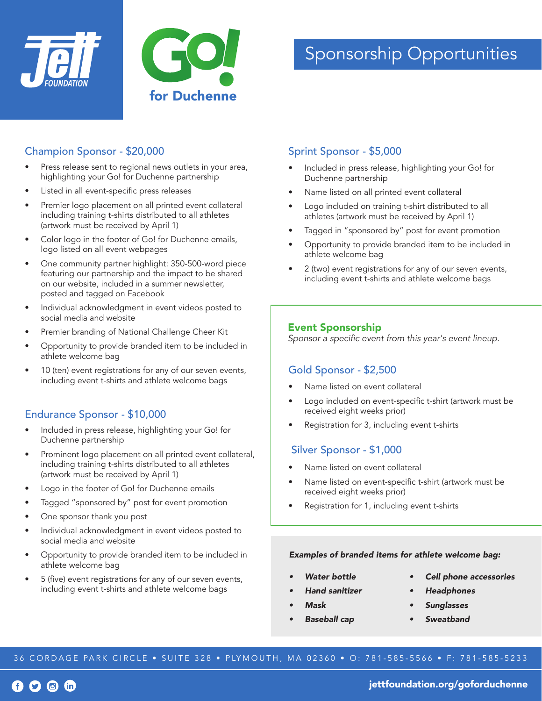



## Champion Sponsor - \$20,000

- Press release sent to regional news outlets in your area, highlighting your Go! for Duchenne partnership
- Listed in all event-specific press releases
- Premier logo placement on all printed event collateral including training t-shirts distributed to all athletes (artwork must be received by April 1)
- Color logo in the footer of Go! for Duchenne emails, logo listed on all event webpages
- One community partner highlight: 350-500-word piece featuring our partnership and the impact to be shared on our website, included in a summer newsletter, posted and tagged on Facebook
- Individual acknowledgment in event videos posted to social media and website
- Premier branding of National Challenge Cheer Kit
- Opportunity to provide branded item to be included in athlete welcome bag
- 10 (ten) event registrations for any of our seven events, including event t-shirts and athlete welcome bags

# Endurance Sponsor - \$10,000

- Included in press release, highlighting your Go! for Duchenne partnership
- Prominent logo placement on all printed event collateral, including training t-shirts distributed to all athletes (artwork must be received by April 1)
- Logo in the footer of Go! for Duchenne emails
- Tagged "sponsored by" post for event promotion
- One sponsor thank you post
- Individual acknowledgment in event videos posted to social media and website
- Opportunity to provide branded item to be included in athlete welcome bag
- 5 (five) event registrations for any of our seven events, including event t-shirts and athlete welcome bags

# Sprint Sponsor - \$5,000

- Included in press release, highlighting your Go! for Duchenne partnership
- Name listed on all printed event collateral
- Logo included on training t-shirt distributed to all athletes (artwork must be received by April 1)
- Tagged in "sponsored by" post for event promotion
- Opportunity to provide branded item to be included in athlete welcome bag
- 2 (two) event registrations for any of our seven events, including event t-shirts and athlete welcome bags

## Event Sponsorship

Sponsor a specific event from this year's event lineup.

## Gold Sponsor - \$2,500

- Name listed on event collateral
- Logo included on event-specific t-shirt (artwork must be received eight weeks prior)
- Registration for 3, including event t-shirts

# Silver Sponsor - \$1,000

- Name listed on event collateral
- Name listed on event-specific t-shirt (artwork must be received eight weeks prior)
- Registration for 1, including event t-shirts

#### *Examples of branded items for athlete welcome bag:*

- *• Water bottle*
- *• Hand sanitizer*
- *• Mask*
- *• Baseball cap*
- *• Cell phone accessories*
- *• Headphones*
- *• Sunglasses*
- *• Sweatband*

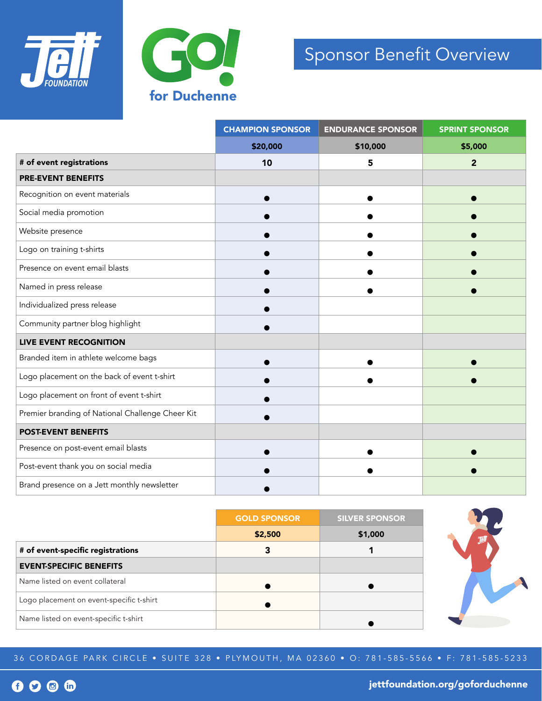



# Sponsor Benefit Overview

|                                                  | <b>CHAMPION SPONSOR</b> | <b>ENDURANCE SPONSOR</b> | <b>SPRINT SPONSOR</b> |
|--------------------------------------------------|-------------------------|--------------------------|-----------------------|
|                                                  | \$20,000                | \$10,000                 | \$5,000               |
| # of event registrations                         | 10                      | 5                        | $\overline{2}$        |
| <b>PRE-EVENT BENEFITS</b>                        |                         |                          |                       |
| Recognition on event materials                   |                         |                          |                       |
| Social media promotion                           |                         |                          |                       |
| Website presence                                 |                         |                          |                       |
| Logo on training t-shirts                        |                         |                          |                       |
| Presence on event email blasts                   |                         |                          |                       |
| Named in press release                           |                         |                          |                       |
| Individualized press release                     |                         |                          |                       |
| Community partner blog highlight                 |                         |                          |                       |
| <b>LIVE EVENT RECOGNITION</b>                    |                         |                          |                       |
| Branded item in athlete welcome bags             |                         |                          |                       |
| Logo placement on the back of event t-shirt      |                         |                          |                       |
| Logo placement on front of event t-shirt         |                         |                          |                       |
| Premier branding of National Challenge Cheer Kit |                         |                          |                       |
| <b>POST-EVENT BENEFITS</b>                       |                         |                          |                       |
| Presence on post-event email blasts              |                         |                          |                       |
| Post-event thank you on social media             |                         |                          |                       |
| Brand presence on a Jett monthly newsletter      |                         |                          |                       |

|                                          | <b>GOLD SPONSOR</b> | <b>SILVER SPONSOR</b> |  |  |
|------------------------------------------|---------------------|-----------------------|--|--|
|                                          | \$2,500             | \$1,000               |  |  |
| # of event-specific registrations        | 3                   |                       |  |  |
| <b>EVENT-SPECIFIC BENEFITS</b>           |                     |                       |  |  |
| Name listed on event collateral          |                     |                       |  |  |
| Logo placement on event-specific t-shirt |                     |                       |  |  |
| Name listed on event-specific t-shirt    |                     |                       |  |  |